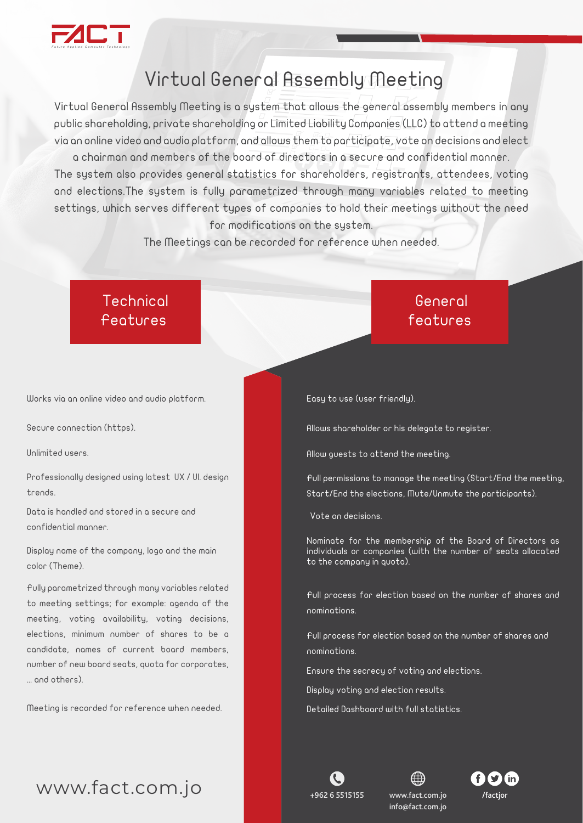

## Virtual General Assembly Meeting

Virtual General Assembly Meeting is a system that allows the general assembly members in any public shareholding, private shareholding or Limited Liability Companies (LLC) to attend a meeting via an online video and audio platform, and allows them to participate, vote on decisions and elect

a chairman and members of the board of directors in a secure and confidential manner. The system also provides general statistics for shareholders, registrants, attendees, voting and elections.The system is fully parametrized through many variables related to meeting settings, which serves different types of companies to hold their meetings without the need for modifications on the system.

The Meetings can be recorded for reference when needed.